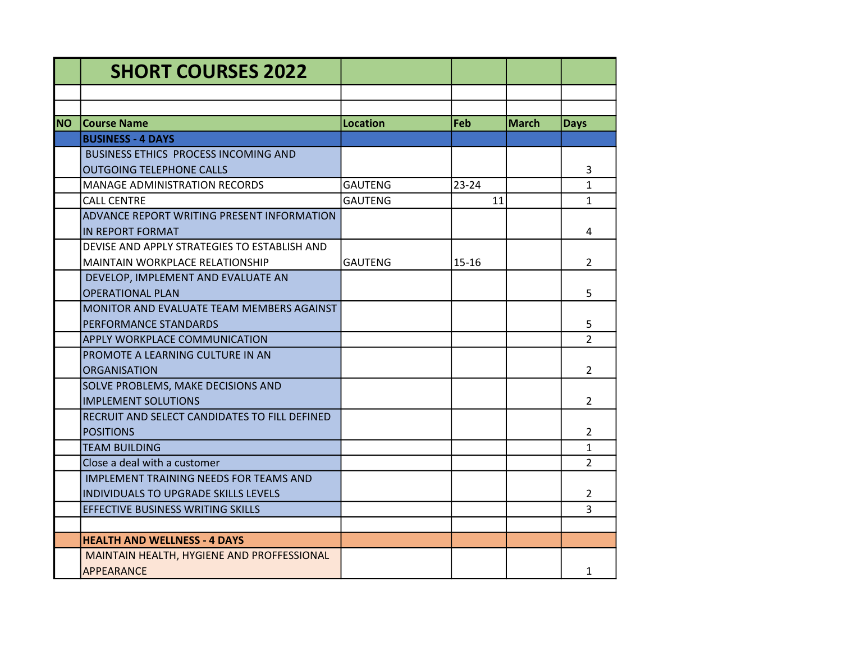|            | <b>SHORT COURSES 2022</b>                         |                 |           |       |                |
|------------|---------------------------------------------------|-----------------|-----------|-------|----------------|
|            |                                                   |                 |           |       |                |
|            |                                                   |                 |           |       |                |
| <b>INO</b> | <b>Course Name</b>                                | <b>Location</b> | Feb       | March | <b>Days</b>    |
|            | <b>BUSINESS - 4 DAYS</b>                          |                 |           |       |                |
|            | BUSINESS ETHICS PROCESS INCOMING AND              |                 |           |       |                |
|            | <b>OUTGOING TELEPHONE CALLS</b>                   |                 |           |       | 3              |
|            | <b>MANAGE ADMINISTRATION RECORDS</b>              | <b>GAUTENG</b>  | 23-24     |       | $\mathbf{1}$   |
|            | <b>CALL CENTRE</b>                                | <b>GAUTENG</b>  | 11        |       | $\mathbf{1}$   |
|            | <b>ADVANCE REPORT WRITING PRESENT INFORMATION</b> |                 |           |       |                |
|            | IN REPORT FORMAT                                  |                 |           |       | 4              |
|            | DEVISE AND APPLY STRATEGIES TO ESTABLISH AND      |                 |           |       |                |
|            | <b>MAINTAIN WORKPLACE RELATIONSHIP</b>            | GAUTENG         | $15 - 16$ |       | 2              |
|            | DEVELOP, IMPLEMENT AND EVALUATE AN                |                 |           |       |                |
|            | <b>OPERATIONAL PLAN</b>                           |                 |           |       | 5              |
|            | MONITOR AND EVALUATE TEAM MEMBERS AGAINST         |                 |           |       |                |
|            | PERFORMANCE STANDARDS                             |                 |           |       | 5              |
|            | <b>APPLY WORKPLACE COMMUNICATION</b>              |                 |           |       | $\overline{2}$ |
|            | PROMOTE A LEARNING CULTURE IN AN                  |                 |           |       |                |
|            | <b>ORGANISATION</b>                               |                 |           |       | $\overline{2}$ |
|            | SOLVE PROBLEMS, MAKE DECISIONS AND                |                 |           |       |                |
|            | <b>IMPLEMENT SOLUTIONS</b>                        |                 |           |       | $\overline{2}$ |
|            | RECRUIT AND SELECT CANDIDATES TO FILL DEFINED     |                 |           |       |                |
|            | <b>POSITIONS</b>                                  |                 |           |       | 2              |
|            | <b>TEAM BUILDING</b>                              |                 |           |       | $\mathbf{1}$   |
|            | Close a deal with a customer                      |                 |           |       | $\overline{2}$ |
|            | IMPLEMENT TRAINING NEEDS FOR TEAMS AND            |                 |           |       |                |
|            | <b>INDIVIDUALS TO UPGRADE SKILLS LEVELS</b>       |                 |           |       | $\overline{2}$ |
|            | EFFECTIVE BUSINESS WRITING SKILLS                 |                 |           |       | 3              |
|            |                                                   |                 |           |       |                |
|            | <b>HEALTH AND WELLNESS - 4 DAYS</b>               |                 |           |       |                |
|            | MAINTAIN HEALTH, HYGIENE AND PROFFESSIONAL        |                 |           |       |                |
|            | <b>APPEARANCE</b>                                 |                 |           |       | 1              |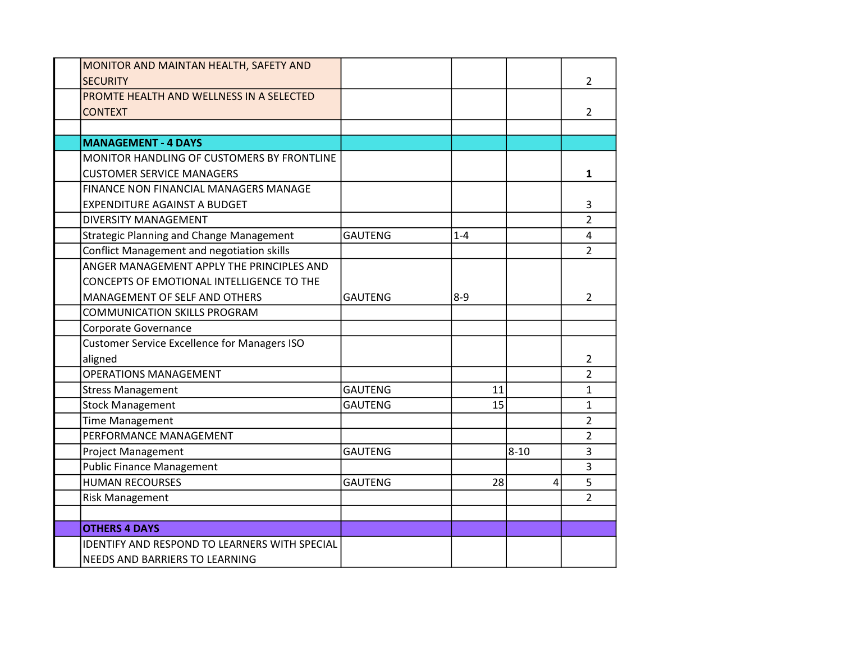| MONITOR AND MAINTAN HEALTH, SAFETY AND               |                |         |          |                |
|------------------------------------------------------|----------------|---------|----------|----------------|
| <b>SECURITY</b>                                      |                |         |          | 2              |
| PROMTE HEALTH AND WELLNESS IN A SELECTED             |                |         |          |                |
| <b>CONTEXT</b>                                       |                |         |          | $\overline{2}$ |
|                                                      |                |         |          |                |
| <b>MANAGEMENT - 4 DAYS</b>                           |                |         |          |                |
| MONITOR HANDLING OF CUSTOMERS BY FRONTLINE           |                |         |          |                |
| <b>CUSTOMER SERVICE MANAGERS</b>                     |                |         |          | $\mathbf{1}$   |
| FINANCE NON FINANCIAL MANAGERS MANAGE                |                |         |          |                |
| <b>EXPENDITURE AGAINST A BUDGET</b>                  |                |         |          | 3              |
| <b>DIVERSITY MANAGEMENT</b>                          |                |         |          | $\overline{2}$ |
| <b>Strategic Planning and Change Management</b>      | <b>GAUTENG</b> | $1 - 4$ |          | 4              |
| <b>Conflict Management and negotiation skills</b>    |                |         |          | $\overline{2}$ |
| ANGER MANAGEMENT APPLY THE PRINCIPLES AND            |                |         |          |                |
| CONCEPTS OF EMOTIONAL INTELLIGENCE TO THE            |                |         |          |                |
| MANAGEMENT OF SELF AND OTHERS                        | GAUTENG        | $8 - 9$ |          | 2              |
| <b>COMMUNICATION SKILLS PROGRAM</b>                  |                |         |          |                |
| Corporate Governance                                 |                |         |          |                |
| <b>Customer Service Excellence for Managers ISO</b>  |                |         |          |                |
| aligned                                              |                |         |          | $\overline{2}$ |
| <b>OPERATIONS MANAGEMENT</b>                         |                |         |          | $\overline{2}$ |
| <b>Stress Management</b>                             | <b>GAUTENG</b> | 11      |          | $\mathbf{1}$   |
| <b>Stock Management</b>                              | <b>GAUTENG</b> | 15      |          | $\mathbf{1}$   |
| <b>Time Management</b>                               |                |         |          | $\overline{2}$ |
| PERFORMANCE MANAGEMENT                               |                |         |          | $\overline{2}$ |
| Project Management                                   | <b>GAUTENG</b> |         | $8 - 10$ | 3              |
| <b>Public Finance Management</b>                     |                |         |          | 3              |
| <b>HUMAN RECOURSES</b>                               | <b>GAUTENG</b> | 28      | 4        | 5              |
| <b>Risk Management</b>                               |                |         |          | $\overline{2}$ |
|                                                      |                |         |          |                |
| <b>OTHERS 4 DAYS</b>                                 |                |         |          |                |
| <b>IDENTIFY AND RESPOND TO LEARNERS WITH SPECIAL</b> |                |         |          |                |
| NEEDS AND BARRIERS TO LEARNING                       |                |         |          |                |